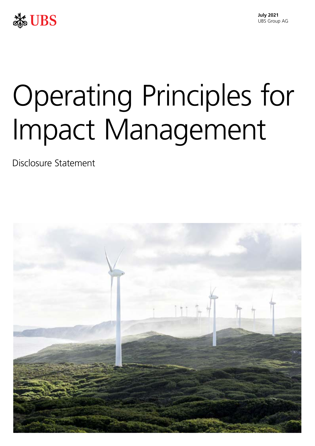

# Operating Principles for Impact Management

Disclosure Statement

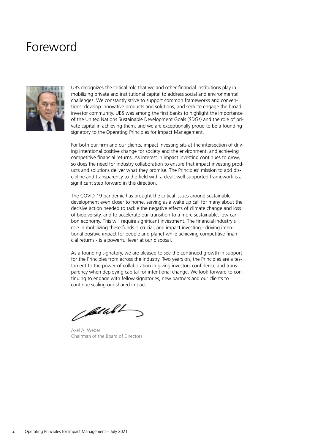### Foreword



UBS recognizes the critical role that we and other financial institutions play in mobilizing private and institutional capital to address social and environmental challenges. We constantly strive to support common frameworks and conventions, develop innovative products and solutions, and seek to engage the broad investor community. UBS was among the first banks to highlight the importance of the United Nations Sustainable Development Goals (SDGs) and the role of private capital in achieving them, and we are exceptionally proud to be a founding signatory to the Operating Principles for Impact Management.

For both our firm and our clients, impact investing sits at the intersection of driving intentional positive change for society and the environment, and achieving competitive financial returns. As interest in impact investing continues to grow, so does the need for industry collaboration to ensure that impact investing products and solutions deliver what they promise. The Principles' mission to add discipline and transparency to the field with a clear, well-supported framework is a significant step forward in this direction.

The COVID-19 pandemic has brought the critical issues around sustainable development even closer to home, serving as a wake up call for many about the decisive action needed to tackle the negative effects of climate change and loss of biodiversity, and to accelerate our transition to a more sustainable, low-carbon economy. This will require significant investment. The financial industry's role in mobilizing these funds is crucial, and impact investing - driving intentional positive impact for people and planet while achieving competitive financial returns - is a powerful lever at our disposal.

As a founding signatory, we are pleased to see the continued growth in support for the Principles from across the industry. Two years on, the Principles are a testament to the power of collaboration in giving investors confidence and transparency when deploying capital for intentional change. We look forward to continuing to engage with fellow signatories, new partners and our clients to continue scaling our shared impact.

pulled

Axel A. Weber Chairman of the Board of Directors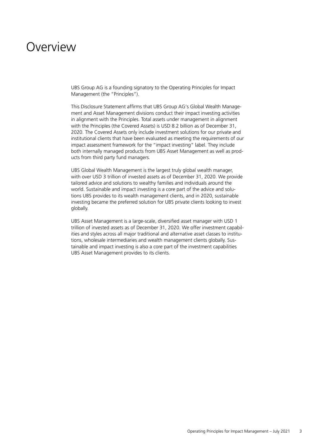### **Overview**

UBS Group AG is a founding signatory to the Operating Principles for Impact Management (the "Principles").

This Disclosure Statement affirms that UBS Group AG's Global Wealth Management and Asset Management divisions conduct their impact investing activities in alignment with the Principles. Total assets under management in alignment with the Principles (the Covered Assets) is USD 8.2 billion as of December 31, 2020. The Covered Assets only include investment solutions for our private and institutional clients that have been evaluated as meeting the requirements of our impact assessment framework for the "impact investing" label. They include both internally managed products from UBS Asset Management as well as products from third party fund managers.

UBS Global Wealth Management is the largest truly global wealth manager, with over USD 3 trillion of invested assets as of December 31, 2020. We provide tailored advice and solutions to wealthy families and individuals around the world. Sustainable and impact investing is a core part of the advice and solutions UBS provides to its wealth management clients, and in 2020, sustainable investing became the preferred solution for UBS private clients looking to invest globally.

UBS Asset Management is a large-scale, diversified asset manager with USD 1 trillion of invested assets as of December 31, 2020. We offer investment capabilities and styles across all major traditional and alternative asset classes to institutions, wholesale intermediaries and wealth management clients globally. Sustainable and impact investing is also a core part of the investment capabilities UBS Asset Management provides to its clients.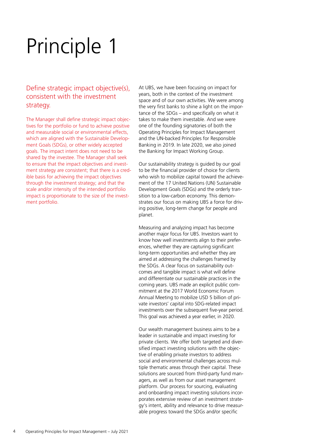#### Define strategic impact objective(s), consistent with the investment strategy.

The Manager shall define strategic impact objectives for the portfolio or fund to achieve positive and measurable social or environmental effects, which are aligned with the Sustainable Development Goals (SDGs), or other widely accepted goals. The impact intent does not need to be shared by the investee. The Manager shall seek to ensure that the impact objectives and investment strategy are consistent; that there is a credible basis for achieving the impact objectives through the investment strategy; and that the scale and/or intensity of the intended portfolio impact is proportionate to the size of the investment portfolio.

At UBS, we have been focusing on impact for years, both in the context of the investment space and of our own activities. We were among the very first banks to shine a light on the importance of the SDGs – and specifically on what it takes to make them investable. And we were one of the founding signatories of both the Operating Principles for Impact Management and the UN-backed Principles for Responsible Banking in 2019. In late 2020, we also joined the Banking for Impact Working Group.

Our sustainability strategy is guided by our goal to be the financial provider of choice for clients who wish to mobilize capital toward the achievement of the 17 United Nations (UN) Sustainable Development Goals (SDGs) and the orderly transition to a low-carbon economy. This demonstrates our focus on making UBS a force for driving positive, long-term change for people and planet.

Measuring and analyzing impact has become another major focus for UBS. Investors want to know how well investments align to their preferences, whether they are capturing significant long-term opportunities and whether they are aimed at addressing the challenges framed by the SDGs. A clear focus on sustainability outcomes and tangible impact is what will define and differentiate our sustainable practices in the coming years. UBS made an explicit public commitment at the 2017 World Economic Forum Annual Meeting to mobilize USD 5 billion of private investors' capital into SDG-related impact investments over the subsequent five-year period. This goal was achieved a year earlier, in 2020.

Our wealth management business aims to be a leader in sustainable and impact investing for private clients. We offer both targeted and diversified impact investing solutions with the objective of enabling private investors to address social and environmental challenges across multiple thematic areas through their capital. These solutions are sourced from third-party fund managers, as well as from our asset management platform. Our process for sourcing, evaluating and onboarding impact investing solutions incorporates extensive review of an investment strategy's intent, ability and relevance to drive measurable progress toward the SDGs and/or specific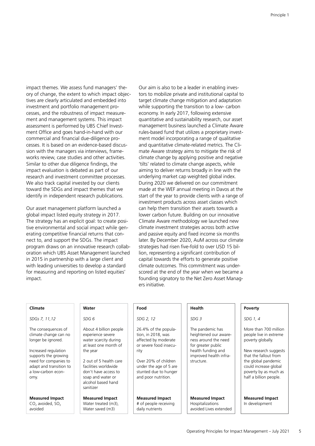tives are clearly articulated and embedded into target climate change mitigation and adaptation investment and portfolio management pro- while supporting the transition to a low- carbon cesses, and the robustness of impact measure- economy. In early 2017, following extensive commercial and financial due-diligence pro- ment model incorporating a range of qualitative cesses. It is based on an evidence-based discus- and quantitative climate-related metrics. The Clision with the managers via interviews, frame- mate Aware strategy aims to mitigate the risk of Similar to other due diligence findings, the 'tilts' related to climate change aspects, while impact evaluation is debated as part of our aiming to deliver returns broadly in line with the research and investment committee processes. underlying market cap weighted global index. We also track capital invested by our clients During 2020 we delivered on our commitment

global impact listed equity strategy in 2017. lower carbon future. Building on our innovative The strategy has an explicit goal: to create posi- Climate Aware methodology we launched new tive environmental and social impact while gen- climate investment strategies across both active erating competitive financial returns that con- and passive equity and fixed income six months program draws on an innovative research collab- strategies had risen five-fold to over USD 15 biloration which UBS Asset Management launched lion, representing a significant contribution of in 2015 in partnership with a large client and capital towards the efforts to generate positive with leading universities to develop a standard climate outcomes. This commitment was under-

impact themes. We assess fund managers' the- Our aim is also to be a leader in enabling invesory of change, the extent to which impact objec- tors to mobilize private and institutional capital to ment and management systems. This impact quantitative and sustainability research, our asset assessment is performed by UBS Chief Invest- management business launched a Climate Aware ment Office and goes hand-in-hand with our rules-based fund that utilizes a proprietary investworks review, case studies and other activities. climate change by applying positive and negative toward the SDGs and impact themes that we made at the WEF annual meeting in Davos at the identify in independent research publications. Start of the year to provide clients with a range of investment products across asset classes which Our asset management platform launched a can help them transition their assets towards a nect to, and support the SDGs. The impact later. By December 2020, AuM across our climate for measuring and reporting on listed equities' scored at the end of the year when we became a impact. founding signatory to the Net Zero Asset Managers initiative.

| Climate                                                                                                                        | Water                                                                                                                                      | Food                                                                                                   | Health                                                                                  | Poverty                                                                                                                                           |
|--------------------------------------------------------------------------------------------------------------------------------|--------------------------------------------------------------------------------------------------------------------------------------------|--------------------------------------------------------------------------------------------------------|-----------------------------------------------------------------------------------------|---------------------------------------------------------------------------------------------------------------------------------------------------|
| SDGs 7, 11,12                                                                                                                  | SDG <sub>6</sub>                                                                                                                           | SDG 2, 12                                                                                              | SDG <sub>3</sub>                                                                        | SDG 1, 4                                                                                                                                          |
| The consequences of<br>climate change can no<br>longer be ignored.                                                             | About 4 billion people<br>experience severe<br>water scarcity during<br>at least one month of                                              | 26.4% of the popula-<br>tion, in 2018, was<br>affected by moderate<br>or severe food insecu-           | The pandemic has<br>heightened our aware-<br>ness around the need<br>for greater public | More than 700 million<br>people live in extreme<br>poverty globally.                                                                              |
| Increased regulation<br>supports the growing<br>need for companies to<br>adapt and transition to<br>a low-carbon econ-<br>omy. | the year<br>2 out of 5 health care<br>facilities worldwide<br>don't have access to<br>soap and water or<br>alcohol based hand<br>sanitizer | rity<br>Over 20% of children<br>under the age of 5 are<br>stunted due to hunger<br>and poor nutrition. | health funding and<br>improved health infra-<br>structure.                              | New research suggests<br>that the fallout from<br>the global pandemic<br>could increase global<br>poverty by as much as<br>half a billion people. |
| <b>Measured Impact</b><br>$CO2$ avoided, $SO2$<br>avoided                                                                      | <b>Measured Impact</b><br>Water treated (m3),<br>Water saved (m3)                                                                          | <b>Measured Impact</b><br># of people receiving<br>daily nutrients                                     | <b>Measured Impact</b><br>Hospitalizations<br>avoided Lives extended                    | <b>Measured Impact</b><br>In development                                                                                                          |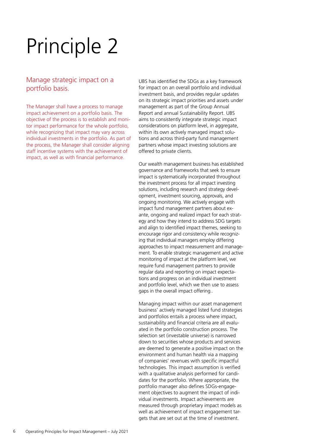#### Manage strategic impact on a portfolio basis.

The Manager shall have a process to manage impact achievement on a portfolio basis. The objective of the process is to establish and monitor impact performance for the whole portfolio, while recognizing that impact may vary across individual investments in the portfolio. As part of the process, the Manager shall consider aligning staff incentive systems with the achievement of impact, as well as with financial performance.

UBS has identified the SDGs as a key framework for impact on an overall portfolio and individual investment basis, and provides regular updates on its strategic impact priorities and assets under management as part of the Group Annual Report and annual Sustainability Report. UBS aims to consistently integrate strategic impact considerations on platform level, in aggregate, within its own actively managed impact solutions and across third-party fund management partners whose impact investing solutions are offered to private clients.

Our wealth management business has established governance and frameworks that seek to ensure impact is systematically incorporated throughout the investment process for all impact investing solutions, including research and strategy development, investment sourcing, approvals, and ongoing monitoring. We actively engage with impact fund management partners about exante, ongoing and realized impact for each strategy and how they intend to address SDG targets and align to identified impact themes, seeking to encourage rigor and consistency while recognizing that individual managers employ differing approaches to impact measurement and management. To enable strategic management and active monitoring of impact at the platform level, we require fund management partners to provide regular data and reporting on impact expectations and progress on an individual investment and portfolio level, which we then use to assess gaps in the overall impact offering..

Managing impact within our asset management business' actively managed listed fund strategies and portfolios entails a process where impact, sustainability and financial criteria are all evaluated in the portfolio construction process. The selection set (investable universe) is narrowed down to securities whose products and services are deemed to generate a positive impact on the environment and human health via a mapping of companies' revenues with specific impactful technologies. This impact assumption is verified with a qualitative analysis performed for candidates for the portfolio. Where appropriate, the portfolio manager also defines SDGs-engagement objectives to augment the impact of individual investments. Impact achievements are measured through proprietary impact models as well as achievement of impact engagement targets that are set out at the time of investment.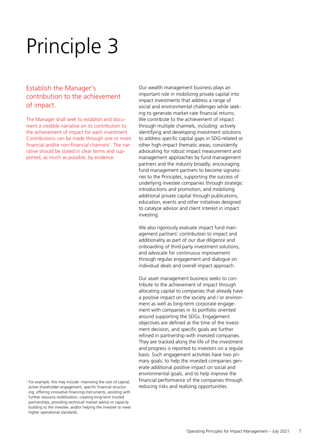#### Establish the Manager's contribution to the achievement of impact.

The Manager shall seek to establish and document a credible narrative on its contribution to the achievement of impact for each investment. Contributions can be made through one or more financial and/or non-financial channels<sup>1</sup>. The narrative should be stated in clear terms and supported, as much as possible, by evidence.

 <sup>1</sup> For example, this may include: improving the cost of capital, active shareholder engagement, specific financial structuring, offering innovative financing instruments, assisting with further resource mobilization, creating long-term trusted partnerships, providing technical/ market advice or capacity building to the investee, and/or helping the investee to meet higher operational standards.

Our wealth management business plays an important role in mobilizing private capital into impact investments that address a range of social and environmental challenges while seeking to generate market-rate financial returns. We contribute to the achievement of impact through multiple channels, including: actively identifying and developing investment solutions to address specific capital gaps in SDG-related or other high-impact thematic areas; consistently advocating for robust impact measurement and management approaches by fund management partners and the industry broadly; encouraging fund management partners to become signatories to the Principles; supporting the success of underlying investee companies through strategic introductions and promotion; and mobilizing additional private capital through publications, education, events and other initiatives designed to catalyze advisor and client interest in impact investing.

We also rigorously evaluate impact fund management partners' contribution to impact and additionality as part of our due diligence and onboarding of third party investment solutions, and advocate for continuous improvement through regular engagement and dialogue on individual deals and overall impact approach.

Our asset management business seeks to contribute to the achievement of impact through allocating capital to companies that already have a positive impact on the society and / or environment as well as long-term corporate engagement with companies in its portfolio oriented around supporting the SDGs. Engagement objectives are defined at the time of the investment decision, and specific goals are further refined in partnership with invested companies. They are tracked along the life of the investment and progress is reported to investors on a regular basis. Such engagement activities have two primary goals: to help the invested companies generate additional positive impact on social and environmental goals, and to help improve the financial performance of the companies through reducing risks and realizing opportunities.

7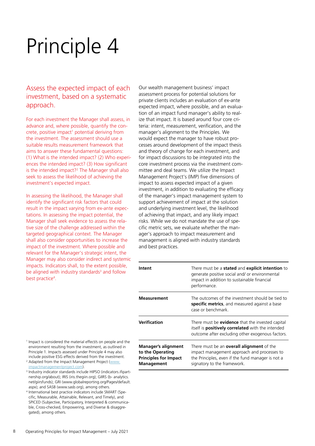#### Assess the expected impact of each investment, based on a systematic approach.

For each investment the Manager shall assess, in advance and, where possible, quantify the concrete, positive impact<sup>1</sup> potential deriving from the investment. The assessment should use a suitable results measurement framework that aims to answer these fundamental questions: (1) What is the intended impact? (2) Who experiences the intended impact? (3) How significant is the intended impact?<sup>2</sup> The Manager shall also seek to assess the likelihood of achieving the investment's expected impact.

In assessing the likelihood, the Manager shall identify the significant risk factors that could result in the impact varying from ex-ante expectations. In assessing the impact potential, the Manager shall seek evidence to assess the relative size of the challenge addressed within the targeted geographical context. The Manager shall also consider opportunities to increase the impact of the investment. Where possible and relevant for the Manager's strategic intent, the Manager may also consider indirect and systemic impacts. Indicators shall, to the extent possible, be aligned with industry standards<sup>3</sup> and follow best practice<sup>4</sup>.

Our wealth management business' impact assessment process for potential solutions for private clients includes an evaluation of ex-ante expected impact, where possible, and an evaluation of an impact fund manager's ability to realize that impact. It is based around four core criteria: intent, measurement, verification, and the manager's alignment to the Principles. We would expect the manager to have robust processes around development of the impact thesis and theory of change for each investment, and for impact discussions to be integrated into the core investment process via the investment committee and deal teams. We utilize the Impact Management Project's (IMP) five dimensions of impact to assess expected impact of a given investment, in addition to evaluating the efficacy of the manager's impact management system to support achievement of impact at the solution and underlying investment level, the likelihood of achieving that impact, and any likely impact risks. While we do not mandate the use of specific metric sets, we evaluate whether the manager's approach to impact measurement and management is aligned with industry standards and best practices.

| Intent                                                                                | There must be a <b>stated</b> and <b>explicit intention</b> to<br>generate positive social and/ or environmental<br>impact in addition to sustainable financial<br>performance.     |
|---------------------------------------------------------------------------------------|-------------------------------------------------------------------------------------------------------------------------------------------------------------------------------------|
| <b>Measurement</b>                                                                    | The outcomes of the investment should be tied to<br>specific metrics, and measured against a base<br>case or benchmark                                                              |
| Verification                                                                          | There must be <b>evidence</b> that the invested capital<br>itself is <b>positively correlated</b> with the intended<br>outcome after excluding other exogenous factors.             |
| Manager's alignment<br>to the Operating<br><b>Principles for Impact</b><br>Management | There must be an <b>overall alignment</b> of the<br>impact management approach and processes to<br>the Principles, even if the fund manager is not a<br>signatory to the framework. |

- <sup>1</sup> Impact is considered the material effect/s on people and the environment resulting from the investment, as outlined in Principle 1. Impacts assessed under Principle 4 may also include positive ESG effects derived from the investment.
- <sup>2</sup> Adapted from the Impact Management Project ([www.](http://www.impactmanagementproject.com) impactmanagementproject.com).<br><sup>3</sup> Industry indicator standards include HIPSO (indicators.ifipart-
- [nership.org/about](https://nership.org/about)); IRIS ([iris.thegiin.org\)](https://iris.thegiin.org); GIIRS (b- analytics. net/giirsfunds); GRI [\(www.globalreporting.org/Pages/default](www.globalreporting.org/Pages/default). aspx); and SASB (<www.sasb.org>), among others.
- 4 International best practice indicators include SMART (Specific, Measurable, Attainable, Relevant, and Timely), and SPICED (Subjective, Participatory, Interpreted & communicable, Cross-checked, Empowering, and Diverse & disaggregated), among others.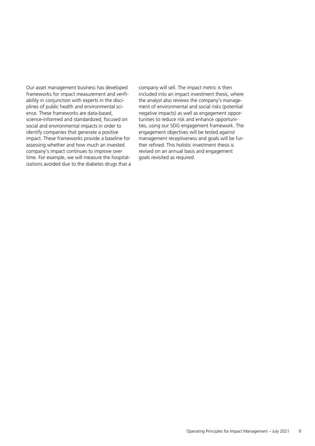Our asset management business has developed frameworks for impact measurement and verifiability in conjunction with experts in the disciplines of public health and environmental science. These frameworks are data-based, science-informed and standardized; focused on social and environmental impacts in order to identify companies that generate a positive impact. These frameworks provide a baseline for assessing whether and how much an invested company's impact continues to improve over time. For example, we will measure the hospitalizations avoided due to the diabetes drugs that a company will sell. The impact metric is then included into an impact investment thesis, where the analyst also reviews the company's management of environmental and social risks (potential negative impacts) as well as engagement opportunities to reduce risk and enhance opportunities, using our SDG engagement framework. The engagement objectives will be tested against management receptiveness and goals will be further refined. This holistic investment thesis is revised on an annual basis and engagement goals revisited as required.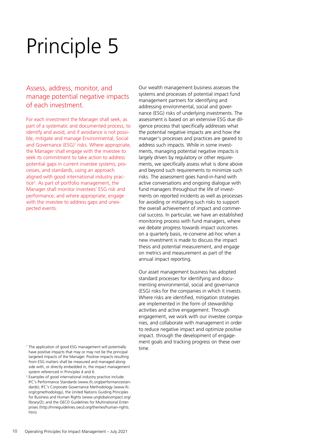#### Assess, address, monitor, and manage potential negative impacts of each investment.

For each investment the Manager shall seek, as part of a systematic and documented process, to identify and avoid, and if avoidance is not possible, mitigate and manage Environmental, Social and Governance (ESG)<sup>1</sup> risks. Where appropriate, the Manager shall engage with the investee to seek its commitment to take action to address potential gaps in current investee systems, processes, and standards, using an approach aligned with good international industry practice<sup>2</sup>. As part of portfolio management, the Manager shall monitor investees' ESG risk and performance, and where appropriate, engage with the investee to address gaps and unexpected events.

Our wealth management business assesses the systems and processes of potential impact fund management partners for identifying and addressing environmental, social and governance (ESG) risks of underlying investments. The assessment is based on an extensive ESG due diligence process that specifically addresses what the potential negative impacts are and how the manager's processes and practices are geared to address such impacts. While in some investments, managing potential negative impacts is largely driven by regulatory or other requirements, we specifically assess what is done above and beyond such requirements to minimize such risks. The assessment goes hand-in-hand with active conversations and ongoing dialogue with fund managers throughout the life of investments on reported incidents as well as processes for avoiding or mitigating such risks to support the overall achievement of impact and commercial success. In particular, we have an established monitoring process with fund managers, where we debate progress towards impact outcomes on a quarterly basis, re-convene ad-hoc when a new investment is made to discuss the impact thesis and potential measurement, and engage on metrics and measurement as part of the annual impact reporting.

Our asset management business has adopted standard processes for identifying and documenting environmental, social and governance (ESG) risks for the companies in which it invests. Where risks are identified, mitigation strategies are implemented in the form of stewardship activities and active engagement. Through engagement, we work with our investee companies, and collaborate with management in order to reduce negative impact and optimize positive impact, through the development of engagement goals and tracking progress on these over time.

<sup>&</sup>lt;sup>1</sup> The application of good ESG management will potentially have positive impacts that may or may not be the principal targeted impacts of the Manager. Positive impacts resulting from ESG matters shall be measured and managed alongside with, or directly embedded in, the impact management system referenced in Principles 4 and 6.

 <sup>2</sup>Examples of good international industry practice include: IFC's Performance Standards [\(www.ifc.org/performancestan](www.ifc.org/performancestan)dards); IFC's Corporate Governance Methodology (www.ifc. org/cgmethodology), the United Nations Guiding Principles for Business and Human Rights [\(www.unglobalcompact.org](www.unglobalcompact.org)/ library/2); and the OECD Guidelines for Multinational Enterprises [\(http://mneguidelines.oecd.org/themes/human-rights.](http://mneguidelines.oecd.org/themes/human-rights) htm).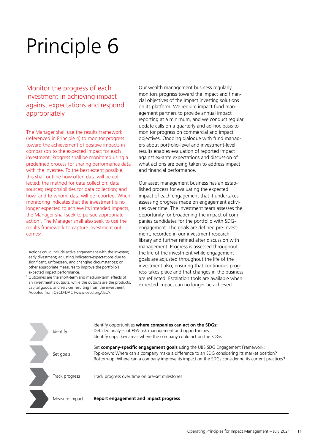Monitor the progress of each investment in achieving impact against expectations and respond appropriately.

The Manager shall use the results framework (referenced in Principle 4) to monitor progress toward the achievement of positive impacts in comparison to the expected impact for each investment. Progress shall be monitored using a predefined process for sharing performance data with the investee. To the best extent possible, this shall outline how often data will be collected; the method for data collection; data sources; responsibilities for data collection; and how, and to whom, data will be reported. When monitoring indicates that the investment is no longer expected to achieve its intended impacts, the Manager shall seek to pursue appropriate action<sup>1</sup>. The Manager shall also seek to use the results framework to capture investment out $comes<sup>2</sup>$ .

- <sup>1</sup> Actions could include active engagement with the investee; early divestment; adjusting indicators/expectations due to significant, unforeseen, and changing circumstances; or other appropriate measures to improve the portfolio's expected impact performance.
- <sup>2</sup> Outcomes are the short-term and medium-term effects of an investment's outputs, while the outputs are the products, capital goods, and services resulting from the investment. Adopted from OECD-DAC [\(www.oecd.org/dac](www.oecd.org/dac)/).

Our wealth management business regularly monitors progress toward the impact and financial objectives of the impact investing solutions on its platform. We require impact fund management partners to provide annual impact reporting at a minimum, and we conduct regular update calls on a quarterly and ad-hoc basis to monitor progress on commercial and impact objectives. Ongoing dialogue with fund managers about portfolio-level and investment-level results enables evaluation of reported impact against ex-ante expectations and discussion of what actions are being taken to address impact and financial performance.

Our asset management business has an established process for evaluating the expected impact of each engagement that it undertakes, assessing progress made on engagement activities over time. The investment team assesses the opportunity for broadening the impact of companies candidates for the portfolio with SDGengagement. The goals are defined pre-investment, recorded in our investment research library and further refined after discussion with management. Progress is assessed throughout the life of the investment while engagement goals are adjusted throughout the life of the investment also; ensuring that continuous progress takes place and that changes in the business are reflected. Escalation tools are available when expected impact can no longer be achieved.

| Identify       | Identify opportunities where companies can act on the SDGs:<br>Detailed analysis of E&S risk management and opportunities<br>Identify gaps: key areas where the company could act on the SDGs                                                                                   |
|----------------|---------------------------------------------------------------------------------------------------------------------------------------------------------------------------------------------------------------------------------------------------------------------------------|
| Set goals      | Set company-specific engagement goals using the UBS SDG Engagement Framework:<br>Top-down: Where can a company make a difference to an SDG considering its market position?<br>Bottom-up: Where can a company improve its impact on the SDGs considering its current practices? |
| Track progress | Track progress over time on pre-set milestones                                                                                                                                                                                                                                  |
| Measure impact | Report engagement and impact progress                                                                                                                                                                                                                                           |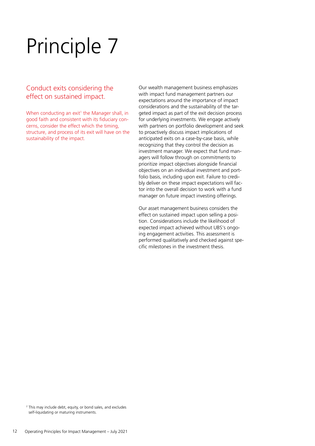#### Conduct exits considering the effect on sustained impact.

When conducting an exit<sup>1</sup> the Manager shall, in good faith and consistent with its fiduciary concerns, consider the effect which the timing, structure, and process of its exit will have on the sustainability of the impact.

Our wealth management business emphasizes with impact fund management partners our expectations around the importance of impact considerations and the sustainability of the targeted impact as part of the exit decision process for underlying investments. We engage actively with partners on portfolio development and seek to proactively discuss impact implications of anticipated exits on a case-by-case basis, while recognizing that they control the decision as investment manager. We expect that fund managers will follow through on commitments to prioritize impact objectives alongside financial objectives on an individual investment and portfolio basis, including upon exit. Failure to credibly deliver on these impact expectations will factor into the overall decision to work with a fund manager on future impact investing offerings.

Our asset management business considers the effect on sustained impact upon selling a position. Considerations include the likelihood of expected impact achieved without UBS's ongoing engagement activities. This assessment is performed qualitatively and checked against specific milestones in the investment thesis.

 <sup>2</sup>This may include debt, equity, or bond sales, and excludes self-liquidating or maturing instruments.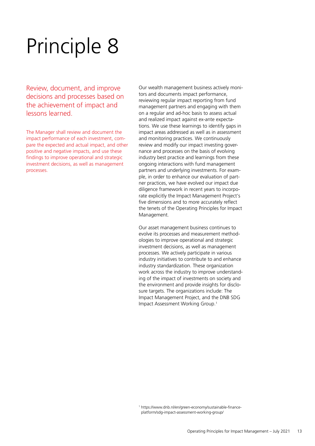Review, document, and improve decisions and processes based on the achievement of impact and lessons learned.

The Manager shall review and document the impact performance of each investment, compare the expected and actual impact, and other positive and negative impacts, and use these findings to improve operational and strategic investment decisions, as well as management processes.

Our wealth management business actively monitors and documents impact performance, reviewing regular impact reporting from fund management partners and engaging with them on a regular and ad-hoc basis to assess actual and realized impact against ex-ante expectations. We use these learnings to identify gaps in impact areas addressed as well as in assessment and monitoring practices. We continuously review and modify our impact investing governance and processes on the basis of evolving industry best practice and learnings from these ongoing interactions with fund management partners and underlying investments. For example, in order to enhance our evaluation of partner practices, we have evolved our impact due diligence framework in recent years to incorporate explicitly the Impact Management Project's five dimensions and to more accurately reflect the tenets of the Operating Principles for Impact Management.

Our asset management business continues to evolve its processes and measurement methodologies to improve operational and strategic investment decisions, as well as management processes. We actively participate in various industry initiatives to contribute to and enhance industry standardization. These organization work across the industry to improve understanding of the impact of investments on society and the environment and provide insights for disclosure targets. The organizations include: The Impact Management Project, and the DNB SDG Impact Assessment Working Group.1

 <sup>1</sup> <https://www.dnb.nl/en/green-economy/sustainable-finance>platform/sdg-impact-assessment-working-group/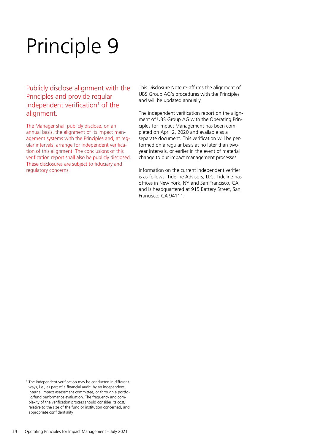#### Publicly disclose alignment with the Principles and provide regular independent verification<sup>1</sup> of the alignment.

The Manager shall publicly disclose, on an annual basis, the alignment of its impact management systems with the Principles and, at regular intervals, arrange for independent verification of this alignment. The conclusions of this verification report shall also be publicly disclosed. These disclosures are subject to fiduciary and regulatory concerns.

This Disclosure Note re-affirms the alignment of UBS Group AG's procedures with the Principles and will be updated annually.

The independent verification report on the alignment of UBS Group AG with the Operating Principles for Impact Management has been completed on April 2, 2020 and available as a separate document. This verification will be performed on a regular basis at no later than twoyear intervals, or earlier in the event of material change to our impact management processes.

Information on the current independent verifier is as follows: Tideline Advisors, LLC. Tideline has offices in New York, NY and San Francisco, CA and is headquartered at 915 Battery Street, San Francisco, CA 94111.

<sup>&</sup>lt;sup>2</sup> The independent verification may be conducted in different ways, i.e., as part of a financial audit, by an independent internal impact assessment committee, or through a portfolio/fund performance evaluation. The frequency and complexity of the verification process should consider its cost, relative to the size of the fund or institution concerned, and appropriate confidentiality